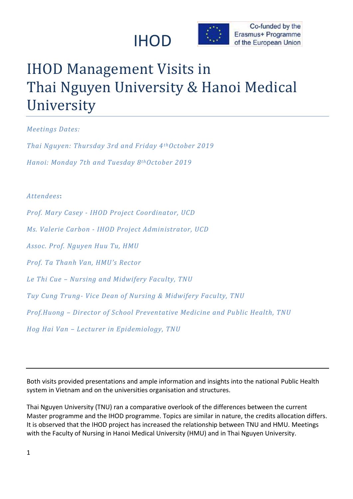



## IHOD Management Visits in Thai Nguyen University & Hanoi Medical University

*Meetings Dates:* 

*Thai Nguyen: Thursday 3rd and Friday 4thOctober 2019 Hanoi: Monday 7th and Tuesday 8thOctober 2019*

## *Attendees***:**

*Prof. Mary Casey - IHOD Project Coordinator, UCD Ms. Valerie Carbon - IHOD Project Administrator, UCD Assoc. Prof. Nguyen Huu Tu, HMU Prof. Ta Thanh Van, HMU's Rector Le Thi Cue – Nursing and Midwifery Faculty, TNU Tuy Cung Trung- Vice Dean of Nursing & Midwifery Faculty, TNU Prof.Huong – Director of School Preventative Medicine and Public Health, TNU Hog Hai Van – Lecturer in Epidemiology, TNU*

Both visits provided presentations and ample information and insights into the national Public Health system in Vietnam and on the universities organisation and structures.

Thai Nguyen University (TNU) ran a comparative overlook of the differences between the current Master programme and the IHOD programme. Topics are similar in nature, the credits allocation differs. It is observed that the IHOD project has increased the relationship between TNU and HMU. Meetings with the Faculty of Nursing in Hanoi Medical University (HMU) and in Thai Nguyen University.